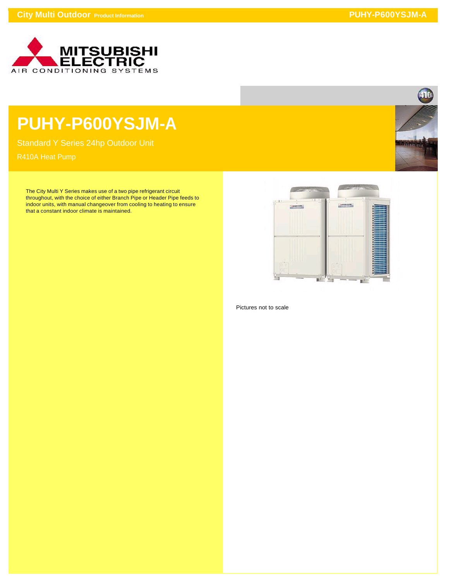

## **PUHY-P600YSJM-A**

Standard Y Series 24hp Outdoor Unit

The City Multi Y Series makes use of a two pipe refrigerant circuit throughout, with the choice of either Branch Pipe or Header Pipe feeds to indoor units, with manual changeover from cooling to heating to ensure that a constant indoor climate is maintained.



Pictures not to scale